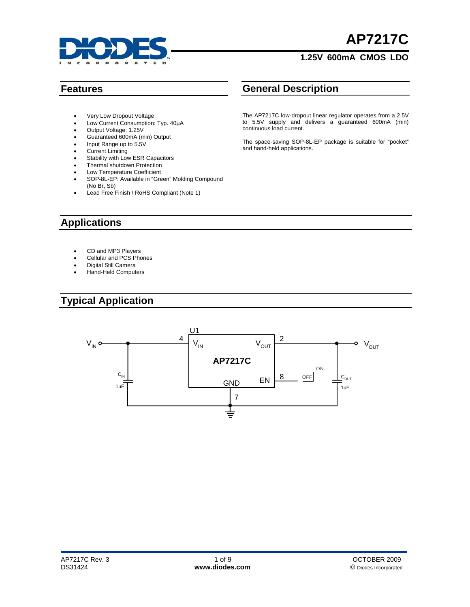

# **AP7217C**

#### **1.25V 600mA CMOS LDO**

- Very Low Dropout Voltage
- Low Current Consumption: Typ. 40µA
- Output Voltage: 1.25V
- Guaranteed 600mA (min) Output
- Input Range up to 5.5V
- Current Limiting
- Stability with Low ESR Capacitors
- Thermal shutdown Protection
- Low Temperature Coefficient
- SOP-8L-EP: Available in "Green" Molding Compound (No Br, Sb)
- Lead Free Finish / RoHS Compliant (Note 1)

#### **Features General Description**

The AP7217C low-dropout linear regulator operates from a 2.5V to 5.5V supply and delivers a guaranteed 600mA (min) continuous load current.

The space-saving SOP-8L-EP package is suitable for "pocket" and hand-held applications.

### **Applications**

- CD and MP3 Players
- Cellular and PCS Phones
- Digital Still Camera
- Hand-Held Computers

### **Typical Application**

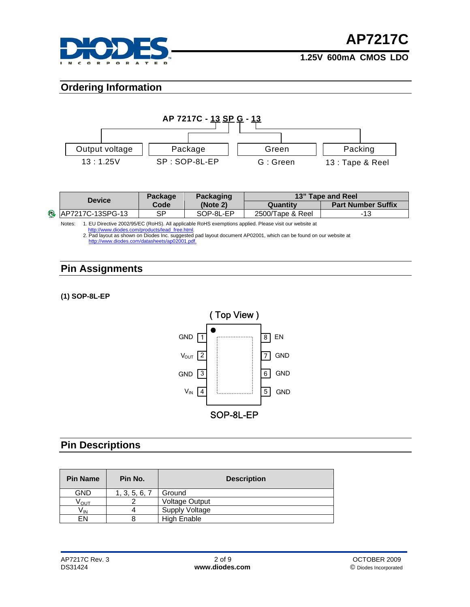

#### **Ordering Information**



| <b>Device</b>             | <b>Package</b><br>Packaging |           | 13" Tape and Reel |                           |  |  |
|---------------------------|-----------------------------|-----------|-------------------|---------------------------|--|--|
|                           | Code                        | (Note 2)  | Quantity          | <b>Part Number Suffix</b> |  |  |
| <b>B</b> AP7217C-13SPG-13 | CD                          | SOP-8L-EP | 2500/Tape & Reel  | -13                       |  |  |

Notes: 1. EU Directive 2002/95/EC (RoHS). All applicable RoHS exemptions applied. Please visit our website at<br>[http://www.diodes.com/products/lead\\_free.html](http://www.diodes.com/products/lead_free.html).<br>2. Pad layout as shown on Diodes Inc. suggested pad layout docume

http://www.diodes.com/datasheets/ap02001.pd

#### **Pin Assignments**

**(1) SOP-8L-EP** 



## **Pin Descriptions**

| <b>Pin Name</b> | Pin No.       | <b>Description</b>    |
|-----------------|---------------|-----------------------|
| <b>GND</b>      | 1, 3, 5, 6, 7 | Ground                |
| Ѵѹт             | ⌒             | <b>Voltage Output</b> |
| Vın             |               | Supply Voltage        |
| EN              | 8             | <b>High Enable</b>    |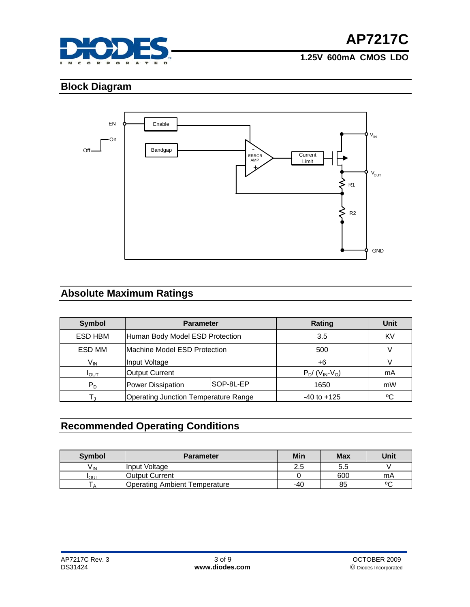

### **Block Diagram**



### **Absolute Maximum Ratings**

| <b>Symbol</b>    | <b>Parameter</b>                     |           | Rating                                     | Unit        |
|------------------|--------------------------------------|-----------|--------------------------------------------|-------------|
| ESD HBM          | Human Body Model ESD Protection      |           | 3.5                                        | KV          |
| ESD MM           | Machine Model ESD Protection         |           | 500                                        |             |
| $V_{\text{IN}}$  | Input Voltage                        |           | $+6$                                       |             |
| $I_{\text{OUT}}$ | Output Current                       |           | $P_D$ / (V <sub>IN</sub> -V <sub>O</sub> ) | mA          |
| $P_D$            | Power Dissipation                    | SOP-8L-EP | 1650                                       | mW          |
|                  | Operating Junction Temperature Range |           | $-40$ to $+125$                            | $\rm ^{o}C$ |

### **Recommended Operating Conditions**

| <b>Symbol</b>   | <b>Parameter</b>                     | Min | <b>Max</b> | Unit   |
|-----------------|--------------------------------------|-----|------------|--------|
| V <sub>IN</sub> | Input Voltage                        | 2.5 | 5.5        |        |
| <b>I</b> OUT    | <b>Output Current</b>                |     | 600        | mA     |
|                 | <b>Operating Ambient Temperature</b> | -40 | 85         | $\sim$ |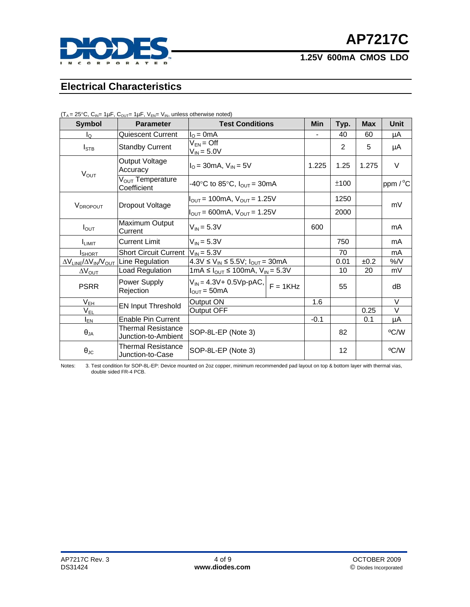

#### **Electrical Characteristics**

| <b>Symbol</b>                                                          | <b>Parameter</b>                                 | <b>Test Conditions</b>                                                    |  | Min    | Typ. | <b>Max</b> | <b>Unit</b> |
|------------------------------------------------------------------------|--------------------------------------------------|---------------------------------------------------------------------------|--|--------|------|------------|-------------|
| I٥                                                                     | Quiescent Current                                | $IO = 0mA$                                                                |  |        | 40   | 60         | μA          |
| $I_{\text{STB}}$                                                       | <b>Standby Current</b>                           | $V_{EN} = \mathrm{Off}$<br>$V_{IN} = 5.0V$                                |  |        | 2    | 5          | μA          |
| $V_{OUT}$                                                              | Output Voltage<br>Accuracy                       | $I_{\rm O}$ = 30 mA, $V_{\rm IN}$ = 5V                                    |  | 1.225  | 1.25 | 1.275      | V           |
|                                                                        | V <sub>OUT</sub> Temperature<br>Coefficient      | -40°C to 85°C, $I_{\text{OUT}}$ = 30mA                                    |  |        | ±100 |            | ppm / °C    |
| <b>VDROPOUT</b>                                                        | Dropout Voltage                                  | $I_{\text{OUT}} = 100 \text{mA}, V_{\text{OUT}} = 1.25 V$                 |  |        | 1250 |            | mV          |
|                                                                        |                                                  | $I_{\text{OUT}} = 600 \text{mA}, V_{\text{OUT}} = 1.25 V$                 |  |        | 2000 |            |             |
| $I_{\text{OUT}}$                                                       | Maximum Output<br>Current                        | $V_{IN} = 5.3V$                                                           |  | 600    |      |            | mA          |
| I <sub>LMIT</sub>                                                      | <b>Current Limit</b>                             | $V_{IN} = 5.3V$                                                           |  |        | 750  |            | mA          |
| <b>I</b> SHORT                                                         | Short Circuit Current<br>$V_{IN} = 5.3V$         |                                                                           |  |        | 70   |            | mA          |
| ΔV <sub>LINE</sub> /ΔV <sub>IN</sub> /V <sub>OUT</sub> Line Regulation |                                                  | 4.3V ≤ $V_{IN}$ ≤ 5.5V; $I_{OUT}$ = 30mA                                  |  |        | 0.01 | ±0.2       | $\%$ /V     |
| $\Delta V_{\text{OUT}}$                                                | Load Regulation                                  | 1mA ≤ $I_{OUT}$ ≤ 100mA, $V_{IN}$ = 5.3V                                  |  |        | 10   | 20         | mV          |
| <b>PSRR</b>                                                            | Power Supply<br>Rejection                        | $V_{IN} = 4.3V + 0.5Vp-pAC,  F = 1KHz$<br>$I_{\text{OUT}} = 50 \text{mA}$ |  |        | 55   |            | dB          |
| $V_{EH}$                                                               |                                                  | Output ON                                                                 |  | 1.6    |      |            | $\vee$      |
| $V_{EL}$                                                               | <b>EN Input Threshold</b>                        | Output OFF                                                                |  |        |      | 0.25       | $\vee$      |
| $I_{EN}$                                                               | <b>Enable Pin Current</b>                        |                                                                           |  | $-0.1$ |      | 0.1        | μA          |
| $\theta_{JA}$                                                          | <b>Thermal Resistance</b><br>Junction-to-Ambient | SOP-8L-EP (Note 3)                                                        |  |        | 82   |            | °C/W        |
| $\theta_{\text{JC}}$                                                   | Thermal Resistance<br>Junction-to-Case           | SOP-8L-EP (Note 3)                                                        |  |        | 12   |            | °C/W        |

 $(T_A = 25^{\circ}C, C_{IN} = 1 \mu F, C_{OUT} = 1 \mu F, V_{EN} = V_{IN}$ , unless otherwise noted)

Notes: 3. Test condition for SOP-8L-EP: Device mounted on 2oz copper, minimum recommended pad layout on top & bottom layer with thermal vias, double sided FR-4 PCB.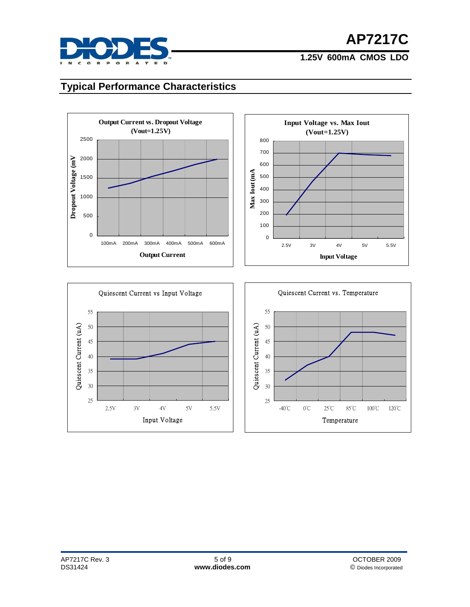

#### **Typical Performance Characteristics**







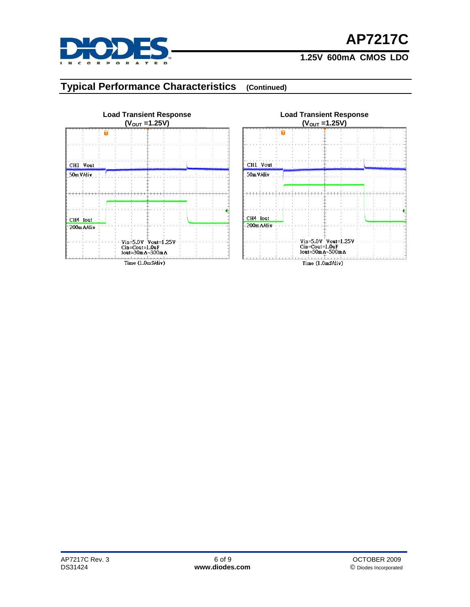

# **AP7217C**

#### **1.25V 600mA CMOS LDO**

### **Typical Performance Characteristics (Continued)**

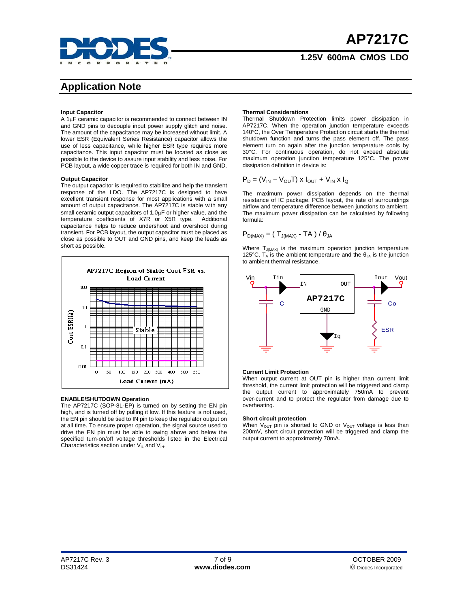

### **Application Note**

#### **Input Capacitor**

A 1µF ceramic capacitor is recommended to connect between IN and GND pins to decouple input power supply glitch and noise. The amount of the capacitance may be increased without limit. A lower ESR (Equivalent Series Resistance) capacitor allows the use of less capacitance, while higher ESR type requires more capacitance. This input capacitor must be located as close as possible to the device to assure input stability and less noise. For PCB layout, a wide copper trace is required for both IN and GND.

#### **Output Capacitor**

The output capacitor is required to stabilize and help the transient response of the LDO. The AP7217C is designed to have excellent transient response for most applications with a small amount of output capacitance. The AP7217C is stable with any small ceramic output capacitors of 1.0µF or higher value, and the temperature coefficients of X7R or X5R type. Additional capacitance helps to reduce undershoot and overshoot during transient. For PCB layout, the output capacitor must be placed as close as possible to OUT and GND pins, and keep the leads as short as possible.



#### **ENABLE/SHUTDOWN Operation**

The AP7217C (SOP-8L-EP) is turned on by setting the EN pin high, and is turned off by pulling it low. If this feature is not used, the EN pin should be tied to IN pin to keep the regulator output on at all time. To ensure proper operation, the signal source used to drive the EN pin must be able to swing above and below the specified turn-on/off voltage thresholds listed in the Electrical Characteristics section under  $V_{IL}$  and  $V_{IH}$ .

#### **Thermal Considerations**

Thermal Shutdown Protection limits power dissipation in AP7217C. When the operation junction temperature exceeds 140°C, the Over Temperature Protection circuit starts the thermal shutdown function and turns the pass element off. The pass element turn on again after the junction temperature cools by 30°C. For continuous operation, do not exceed absolute maximum operation junction temperature 125°C. The power dissipation definition in device is:

$$
P_D = (V_{IN} - V_{OU}T) \times I_{OUT} + V_{IN} \times I_Q
$$

The maximum power dissipation depends on the thermal resistance of IC package, PCB layout, the rate of surroundings airflow and temperature difference between junctions to ambient. The maximum power dissipation can be calculated by following formula:

$$
P_{D(MAX)} = (T_{J(MAX)} - TA) / \theta_{JA}
$$

Where  $T_{J(MAX)}$  is the maximum operation junction temperature 125°C,  $T_A$  is the ambient temperature and the  $\theta_{JA}$  is the junction to ambient thermal resistance.



#### **Current Limit Protection**

When output current at OUT pin is higher than current limit threshold, the current limit protection will be triggered and clamp the output current to approximately 750mA to prevent over-current and to protect the regulator from damage due to overheating.

#### **Short circuit protection**

When  $V_{\text{OUT}}$  pin is shorted to GND or  $V_{\text{OUT}}$  voltage is less than 200mV, short circuit protection will be triggered and clamp the output current to approximately 70mA.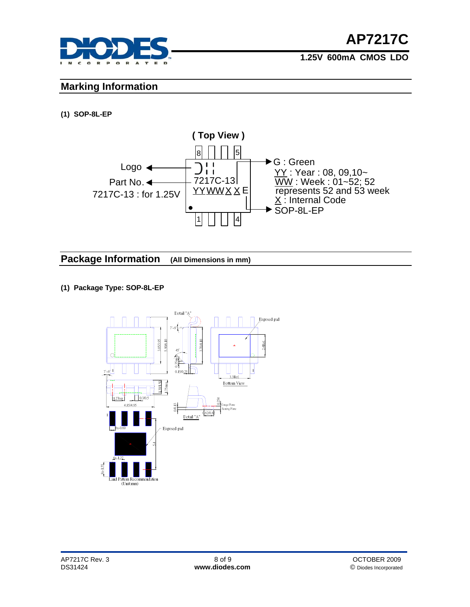

#### **Marking Information**

#### **(1) SOP-8L-EP**



#### **Package Information (All Dimensions in mm)**

#### **(1) Package Type: SOP-8L-EP**